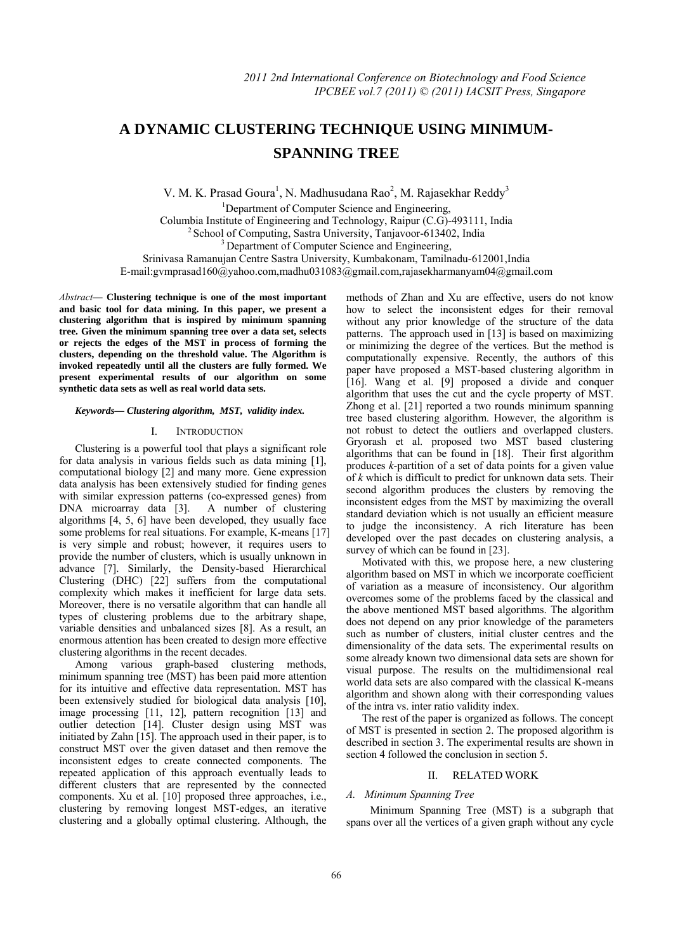# **A DYNAMIC CLUSTERING TECHNIQUE USING MINIMUM-SPANNING TREE**

V. M. K. Prasad Goura<sup>1</sup>, N. Madhusudana Rao<sup>2</sup>, M. Rajasekhar Reddy<sup>3</sup>

<sup>1</sup>Department of Computer Science and Engineering, Columbia Institute of Engineering and Technology, Raipur (C.G)-493111, India 2 School of Computing, Sastra University, Tanjavoor-613402, India 3 Department of Computer Science and Engineering, Srinivasa Ramanujan Centre Sastra University, Kumbakonam, Tamilnadu-612001,India

E-mail:gvmprasad160@yahoo.com,madhu031083@gmail.com,rajasekharmanyam04@gmail.com

*Abstract***— Clustering technique is one of the most important and basic tool for data mining. In this paper, we present a clustering algorithm that is inspired by minimum spanning tree. Given the minimum spanning tree over a data set, selects or rejects the edges of the MST in process of forming the clusters, depending on the threshold value. The Algorithm is invoked repeatedly until all the clusters are fully formed. We present experimental results of our algorithm on some synthetic data sets as well as real world data sets.** 

## *Keywords— Clustering algorithm, MST, validity index.*

# I. INTRODUCTION

Clustering is a powerful tool that plays a significant role for data analysis in various fields such as data mining [1], computational biology [2] and many more. Gene expression data analysis has been extensively studied for finding genes with similar expression patterns (co-expressed genes) from DNA microarray data [3]. A number of clustering algorithms [4, 5, 6] have been developed, they usually face some problems for real situations. For example, K-means [17] is very simple and robust; however, it requires users to provide the number of clusters, which is usually unknown in advance [7]. Similarly, the Density-based Hierarchical Clustering (DHC) [22] suffers from the computational complexity which makes it inefficient for large data sets. Moreover, there is no versatile algorithm that can handle all types of clustering problems due to the arbitrary shape, variable densities and unbalanced sizes [8]. As a result, an enormous attention has been created to design more effective clustering algorithms in the recent decades.

Among various graph-based clustering methods, minimum spanning tree (MST) has been paid more attention for its intuitive and effective data representation. MST has been extensively studied for biological data analysis [10], image processing [11, 12], pattern recognition [13] and outlier detection [14]. Cluster design using MST was initiated by Zahn [15]. The approach used in their paper, is to construct MST over the given dataset and then remove the inconsistent edges to create connected components. The repeated application of this approach eventually leads to different clusters that are represented by the connected components. Xu et al. [10] proposed three approaches, i.e., clustering by removing longest MST-edges, an iterative clustering and a globally optimal clustering. Although, the methods of Zhan and Xu are effective, users do not know how to select the inconsistent edges for their removal without any prior knowledge of the structure of the data patterns. The approach used in [13] is based on maximizing or minimizing the degree of the vertices. But the method is computationally expensive. Recently, the authors of this paper have proposed a MST-based clustering algorithm in [16]. Wang et al. [9] proposed a divide and conquer algorithm that uses the cut and the cycle property of MST. Zhong et al. [21] reported a two rounds minimum spanning tree based clustering algorithm. However, the algorithm is not robust to detect the outliers and overlapped clusters. Gryorash et al. proposed two MST based clustering algorithms that can be found in [18]. Their first algorithm produces *k*-partition of a set of data points for a given value of *k* which is difficult to predict for unknown data sets. Their second algorithm produces the clusters by removing the inconsistent edges from the MST by maximizing the overall standard deviation which is not usually an efficient measure to judge the inconsistency. A rich literature has been developed over the past decades on clustering analysis, a survey of which can be found in [23].

Motivated with this, we propose here, a new clustering algorithm based on MST in which we incorporate coefficient of variation as a measure of inconsistency. Our algorithm overcomes some of the problems faced by the classical and the above mentioned MST based algorithms. The algorithm does not depend on any prior knowledge of the parameters such as number of clusters, initial cluster centres and the dimensionality of the data sets. The experimental results on some already known two dimensional data sets are shown for visual purpose. The results on the multidimensional real world data sets are also compared with the classical K-means algorithm and shown along with their corresponding values of the intra vs. inter ratio validity index.

The rest of the paper is organized as follows. The concept of MST is presented in section 2. The proposed algorithm is described in section 3. The experimental results are shown in section 4 followed the conclusion in section 5.

# II. RELATED WORK

## *A. Minimum Spanning Tree*

 Minimum Spanning Tree (MST) is a subgraph that spans over all the vertices of a given graph without any cycle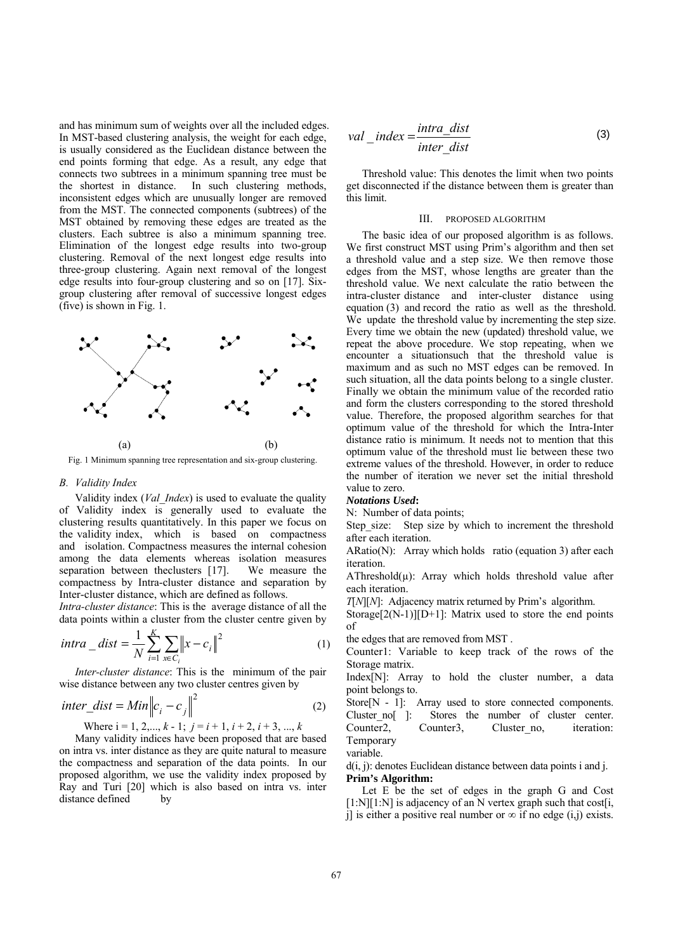and has minimum sum of weights over all the included edges. In MST-based clustering analysis, the weight for each edge, is usually considered as the Euclidean distance between the end points forming that edge. As a result, any edge that connects two subtrees in a minimum spanning tree must be the shortest in distance. In such clustering methods, inconsistent edges which are unusually longer are removed from the MST. The connected components (subtrees) of the MST obtained by removing these edges are treated as the clusters. Each subtree is also a minimum spanning tree. Elimination of the longest edge results into two-group clustering. Removal of the next longest edge results into three-group clustering. Again next removal of the longest edge results into four-group clustering and so on [17]. Sixgroup clustering after removal of successive longest edges (five) is shown in Fig. 1.



Fig. 1 Minimum spanning tree representation and six-group clustering.

## *B. Validity Index*

Validity index (*Val\_Index*) is used to evaluate the quality of Validity index is generally used to evaluate the clustering results quantitatively. In this paper we focus on the validity index, which is based on compactness and isolation. Compactness measures the internal cohesion among the data elements whereas isolation measures separation between theclusters [17]. We measure the compactness by Intra-cluster distance and separation by Inter-cluster distance, which are defined as follows.

*Intra-cluster distance*: This is the average distance of all the data points within a cluster from the cluster centre given by

$$
intra\_dist = \frac{1}{N} \sum_{i=1}^{K} \sum_{x \in C_i} ||x - c_i||^2
$$
 (1)

*Inter-cluster distance*: This is the minimum of the pair wise distance between any two cluster centres given by

$$
inter\_dist = Min \left\| c_i - c_j \right\|^2 \tag{2}
$$

Where  $i = 1, 2, \ldots, k - 1$ ;  $j = i + 1, i + 2, i + 3, \ldots, k$ 

Many validity indices have been proposed that are based on intra vs. inter distance as they are quite natural to measure the compactness and separation of the data points. In our proposed algorithm, we use the validity index proposed by Ray and Turi [20] which is also based on intra vs. inter distance defined by

$$
val\_index = \frac{intra\_dist}{inter\_dist}
$$
 (3)

Threshold value: This denotes the limit when two points get disconnected if the distance between them is greater than this limit.

# III. PROPOSED ALGORITHM

The basic idea of our proposed algorithm is as follows. We first construct MST using Prim's algorithm and then set a threshold value and a step size. We then remove those edges from the MST, whose lengths are greater than the threshold value. We next calculate the ratio between the intra-cluster distance and inter-cluster distance using equation (3) and record the ratio as well as the threshold. We update the threshold value by incrementing the step size. Every time we obtain the new (updated) threshold value, we repeat the above procedure. We stop repeating, when we encounter a situationsuch that the threshold value is maximum and as such no MST edges can be removed. In such situation, all the data points belong to a single cluster. Finally we obtain the minimum value of the recorded ratio and form the clusters corresponding to the stored threshold value. Therefore, the proposed algorithm searches for that optimum value of the threshold for which the Intra-Inter distance ratio is minimum. It needs not to mention that this optimum value of the threshold must lie between these two extreme values of the threshold. However, in order to reduce the number of iteration we never set the initial threshold value to zero.

## *Notations Used***:**

N: Number of data points;

Step size: Step size by which to increment the threshold after each iteration.

ARatio(N): Array which holds ratio (equation 3) after each iteration.

AThreshold $(u)$ : Array which holds threshold value after each iteration.

*T*[*N*][*N*]: Adjacency matrix returned by Prim's algorithm.

Storage[ $2(N-1)$ ][ $D+1$ ]: Matrix used to store the end points of

the edges that are removed from MST .

Counter1: Variable to keep track of the rows of the Storage matrix.

Index[N]: Array to hold the cluster number, a data point belongs to.

Store[N - 1]: Array used to store connected components. Cluster no[ ]: Stores the number of cluster center. Counter2, Counter3, Cluster no, iteration: Temporary

## variable.

d(i, i): denotes Euclidean distance between data points i and i. **Prim's Algorithm:** 

Let E be the set of edges in the graph G and Cost  $[1:N][1:N]$  is adjacency of an N vertex graph such that cost i, j] is either a positive real number or  $\infty$  if no edge (i,j) exists.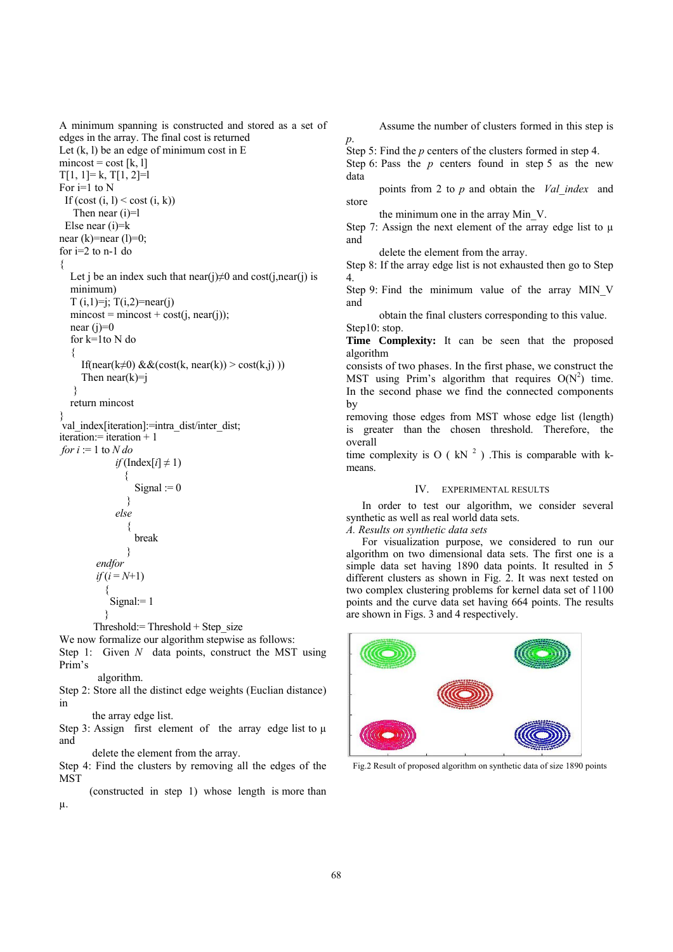A minimum spanning is constructed and stored as a set of edges in the array. The final cost is returned Let  $(k, l)$  be an edge of minimum cost in E  $mincost = cost [k, 1]$  $T[1, 1]=k, T[1, 2]=l$ For  $i=1$  to N If  $(\text{cost}(i, l) \leq \text{cost}(i, k))$ Then near (i)=l Else near (i)=k near  $(k)$ =near  $(l)$ =0; for  $i=2$  to  $n-1$  do { Let i be an index such that near(i) $\neq 0$  and cost(i,near(i) is minimum)  $T(i,1)=i$ ;  $T(i,2)=near(i)$  $mincost = mincost + cost(i, near(i));$ near  $(i)=0$  for k=1to N do { If(near(k≠0)  $&&&( $cost(k, near(k)) > cost(k, j)$ )$ ) Then  $near(k)=j$  } return mincost } val index[iteration]:=intra\_dist/inter\_dist; iteration:= iteration + 1 *for*  $i := 1$  to  $N$  *do*  $if$  (Index[ $i$ ]  $\neq$  1) { Signal :=  $0$ } *else*  { break } *endfor*   $if(i = N+1)$ { Signal:= 1

}

Threshold: $=$  Threshold  $+$  Step size

We now formalize our algorithm stepwise as follows:

Step 1: Given *N* data points, construct the MST using Prim's

algorithm.

Step 2: Store all the distinct edge weights (Euclian distance) in

the array edge list.

Step 3: Assign first element of the array edge list to  $\mu$ and

delete the element from the array.

Step 4: Find the clusters by removing all the edges of the **MST** 

 (constructed in step 1) whose length is more than µ.

Assume the number of clusters formed in this step is

Step 5: Find the *p* centers of the clusters formed in step 4.

Step 6: Pass the  $p$  centers found in step 5 as the new data

 points from 2 to *p* and obtain the *Val\_index* and store

the minimum one in the array Min\_V.

*p*.

Step 7: Assign the next element of the array edge list to  $\mu$ and

delete the element from the array.

Step 8: If the array edge list is not exhausted then go to Step 4.

Step 9: Find the minimum value of the array MIN\_V and

 obtain the final clusters corresponding to this value. Step10: stop.

**Time Complexity:** It can be seen that the proposed algorithm

consists of two phases. In the first phase, we construct the MST using Prim's algorithm that requires  $O(N^2)$  time. In the second phase we find the connected components by

removing those edges from MST whose edge list (length) is greater than the chosen threshold. Therefore, the overall

time complexity is O ( $kN<sup>2</sup>$ ). This is comparable with kmeans.

# IV. EXPERIMENTAL RESULTS

In order to test our algorithm, we consider several synthetic as well as real world data sets.

*A. Results on synthetic data sets* 

For visualization purpose, we considered to run our algorithm on two dimensional data sets. The first one is a simple data set having 1890 data points. It resulted in 5 different clusters as shown in Fig. 2. It was next tested on two complex clustering problems for kernel data set of 1100 points and the curve data set having 664 points. The results are shown in Figs. 3 and 4 respectively.



Fig.2 Result of proposed algorithm on synthetic data of size 1890 points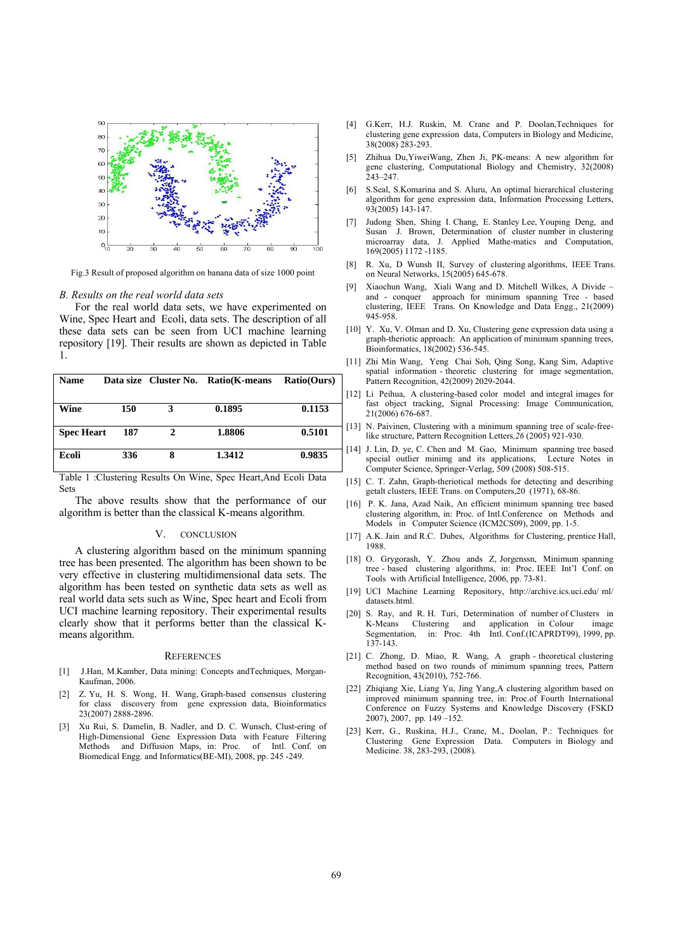

Fig.3 Result of proposed algorithm on banana data of size 1000 point

## *B. Results on the real world data sets*

For the real world data sets, we have experimented on Wine, Spec Heart and Ecoli, data sets. The description of all these data sets can be seen from UCI machine learning repository [19]. Their results are shown as depicted in Table 1.

| <b>Name</b>       |     |   | Data size Cluster No. Ratio (K-means | <b>Ratio(Ours)</b> |
|-------------------|-----|---|--------------------------------------|--------------------|
|                   |     |   |                                      |                    |
| Wine              | 150 | 3 | 0.1895                               | 0.1153             |
|                   |     |   |                                      |                    |
| <b>Spec Heart</b> | 187 | 2 | 1.8806                               | 0.5101             |
| Ecoli             | 336 | 8 | 1.3412                               | 0.9835             |

Table 1 :Clustering Results On Wine, Spec Heart,And Ecoli Data Sets

The above results show that the performance of our algorithm is better than the classical K-means algorithm.

#### V. CONCLUSION

A clustering algorithm based on the minimum spanning tree has been presented. The algorithm has been shown to be very effective in clustering multidimensional data sets. The algorithm has been tested on synthetic data sets as well as real world data sets such as Wine, Spec heart and Ecoli from UCI machine learning repository. Their experimental results clearly show that it performs better than the classical Kmeans algorithm.

#### **REFERENCES**

- [1] J.Han, M.Kamber, Data mining: Concepts andTechniques, Morgan-Kaufman, 2006.
- [2] Z. Yu, H. S. Wong, H. Wang, Graph-based consensus clustering for class discovery from gene expression data, Bioinformatics 23(2007) 2888-2896.
- [3] Xu Rui, S. Damelin, B. Nadler, and D. C. Wunsch, Clust-ering of High-Dimensional Gene Expression Data with Feature Filtering Methods and Diffusion Maps, in: Proc. Biomedical Engg. and Informatics(BE-MI), 2008, pp. 245 -249.
- [4] G.Kerr, H.J. Ruskin, M. Crane and P. Doolan,Techniques for clustering gene expression data, Computers in Biology and Medicine, 38(2008) 283-293.
- [5] Zhihua Du,YiweiWang, Zhen Ji, PK-means: A new algorithm for gene clustering, Computational Biology and Chemistry, 32(2008) 243–247.
- [6] S.Seal, S.Komarina and S. Aluru, An optimal hierarchical clustering algorithm for gene expression data, Information Processing Letters, 93(2005) 143-147.
- [7] Judong Shen, Shing I. Chang, E. Stanley Lee, Youping Deng, and Susan J. Brown, Determination of cluster number in clustering microarray data, J. Applied Mathe-matics and Computation, 169(2005) 1172 -1185.
- [8] R. Xu, D Wunsh II, Survey of clustering algorithms, IEEE Trans. on Neural Networks, 15(2005) 645-678.
- [9] Xiaochun Wang, Xiali Wang and D. Mitchell Wilkes, A Divide and - conquer approach for minimum spanning Tree - based clustering, IEEE Trans. On Knowledge and Data Engg., 21(2009) 945-958.
- [10] Y. Xu, V. Olman and D. Xu, Clustering gene expression data using a graph-theriotic approach: An application of minimum spanning trees, Bioinformatics, 18(2002) 536-545.
- [11] Zhi Min Wang, Yeng Chai Soh, Qing Song, Kang Sim, Adaptive spatial information - theoretic clustering for image segmentation, Pattern Recognition, 42(2009) 2029-2044.
- [12] Li Peihua, A clustering-based color model and integral images for fast object tracking, Signal Processing: Image Communication, 21(2006) 676-687.
- [13] N. Paivinen, Clustering with a minimum spanning tree of scale-freelike structure, Pattern Recognition Letters*,26* (2005) 921-930.
- [14] J. Lin, D. ye, C. Chen and M. Gao, Minimum spanning tree based special outlier minimg and its applications, Lecture Notes in Computer Science, Springer-Verlag, 509 (2008) 508-515.
- [15] C. T. Zahn, Graph-theriotical methods for detecting and describing getalt clusters, IEEE Trans. on Computers,20 (1971), 68-86.
- [16] P. K. Jana, Azad Naik, An efficient minimum spanning tree based clustering algorithm, in: Proc. of Intl.Conference on Methods and Models in Computer Science (ICM2CS09), 2009, pp. 1-5.
- [17] A.K. Jain and R.C. Dubes, Algorithms for Clustering, prentice Hall, 1988.
- [18] O. Grygorash, Y. Zhou ands Z, Jorgenssn, Minimum spanning tree - based clustering algorithms, in: Proc. IEEE Int'l Conf. on Tools with Artificial Intelligence, 2006, pp. 73-81.
- [19] UCI Machine Learning Repository, http://archive.ics.uci.edu/ ml/ datasets.html.
- [20] S. Ray, and R. H. Turi, Determination of number of Clusters in K-Means Clustering and application in Colour image Segmentation, in: Proc. 4th Intl. Conf.(ICAPRDT99), 1999, pp. 137-143.
- [21] C. Zhong, D. Miao, R. Wang, A graph theoretical clustering method based on two rounds of minimum spanning trees, Pattern Recognition, 43(2010), 752-766.
- [22] Zhiqiang Xie, Liang Yu, Jing Yang,A clustering algorithm based on improved minimum spanning tree, in: Proc.of Fourth International Conference on Fuzzy Systems and Knowledge Discovery (FSKD 2007), 2007, pp. 149 –152.
- [23] Kerr, G., Ruskina, H.J., Crane, M., Doolan, P.: Techniques for Clustering Gene Expression Data. Computers in Biology and Medicine. 38, 283-293, (2008).